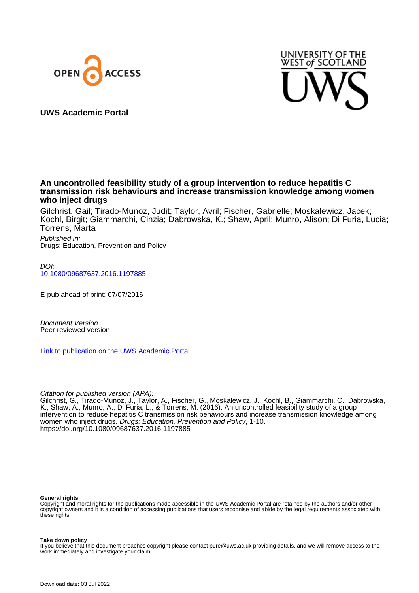



**UWS Academic Portal**

# **An uncontrolled feasibility study of a group intervention to reduce hepatitis C transmission risk behaviours and increase transmission knowledge among women who inject drugs**

Gilchrist, Gail; Tirado-Munoz, Judit; Taylor, Avril; Fischer, Gabrielle; Moskalewicz, Jacek; Kochl, Birgit; Giammarchi, Cinzia; Dabrowska, K.; Shaw, April; Munro, Alison; Di Furia, Lucia; Torrens, Marta

Published in: Drugs: Education, Prevention and Policy

DOI: [10.1080/09687637.2016.1197885](https://doi.org/10.1080/09687637.2016.1197885)

E-pub ahead of print: 07/07/2016

Document Version Peer reviewed version

[Link to publication on the UWS Academic Portal](https://uws.pure.elsevier.com/en/publications/813f3fac-466f-41fe-8608-61dc38ad947b)

Citation for published version (APA):

Gilchrist, G., Tirado-Munoz, J., Taylor, A., Fischer, G., Moskalewicz, J., Kochl, B., Giammarchi, C., Dabrowska, K., Shaw, A., Munro, A., Di Furia, L., & Torrens, M. (2016). An uncontrolled feasibility study of a group intervention to reduce hepatitis C transmission risk behaviours and increase transmission knowledge among women who inject drugs. Drugs: Education, Prevention and Policy, 1-10. <https://doi.org/10.1080/09687637.2016.1197885>

#### **General rights**

Copyright and moral rights for the publications made accessible in the UWS Academic Portal are retained by the authors and/or other copyright owners and it is a condition of accessing publications that users recognise and abide by the legal requirements associated with these rights.

#### **Take down policy**

If you believe that this document breaches copyright please contact pure@uws.ac.uk providing details, and we will remove access to the work immediately and investigate your claim.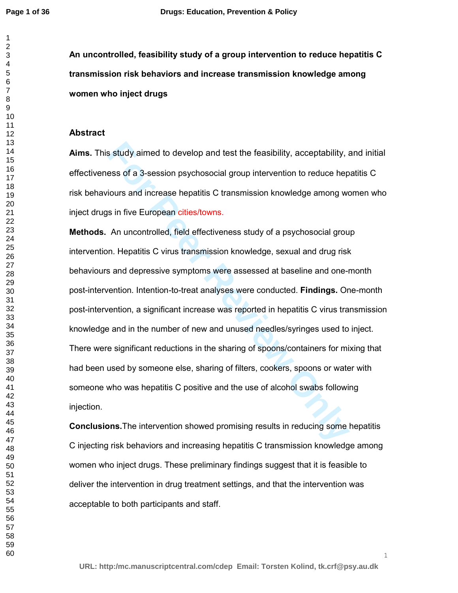**An uncontrolled, feasibility study of a group intervention to reduce hepatitis C transmission risk behaviors and increase transmission knowledge among women who inject drugs** 

#### **Abstract**

**Aims.** This study aimed to develop and test the feasibility, acceptability, and initial effectiveness of a 3-session psychosocial group intervention to reduce hepatitis C risk behaviours and increase hepatitis C transmission knowledge among women who inject drugs in five European cities/towns.

In the study aimed to develop and test the feasibility, acceptability, ass of a 3-session psychosocial group intervention to reduce hep<br>iours and increase hepatitis C transmission knowledge among we<br>sin five European citie **Methods.** An uncontrolled, field effectiveness study of a psychosocial group intervention. Hepatitis C virus transmission knowledge, sexual and drug risk behaviours and depressive symptoms were assessed at baseline and one-month post-intervention. Intention-to-treat analyses were conducted. **Findings.** One-month post-intervention, a significant increase was reported in hepatitis C virus transmission knowledge and in the number of new and unused needles/syringes used to inject. There were significant reductions in the sharing of spoons/containers for mixing that had been used by someone else, sharing of filters, cookers, spoons or water with someone who was hepatitis C positive and the use of alcohol swabs following injection.

**Conclusions.**The intervention showed promising results in reducing some hepatitis C injecting risk behaviors and increasing hepatitis C transmission knowledge among women who inject drugs. These preliminary findings suggest that it is feasible to deliver the intervention in drug treatment settings, and that the intervention was acceptable to both participants and staff.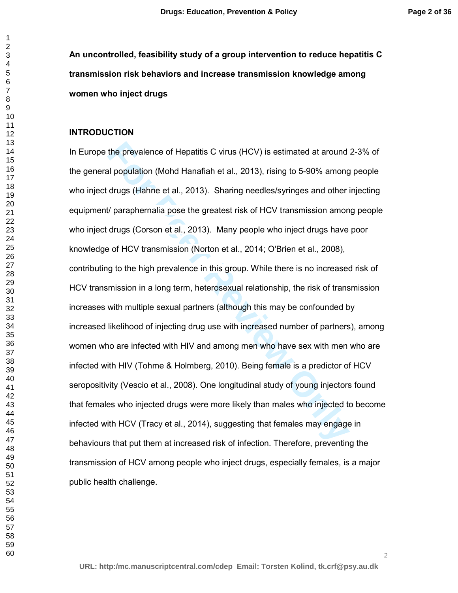**An uncontrolled, feasibility study of a group intervention to reduce hepatitis C transmission risk behaviors and increase transmission knowledge among women who inject drugs** 

#### **INTRODUCTION**

the prevalence of Hepatitis C virus (HCV) is estimated at around<br>al population (Mohd Hanafiah et al., 2013), rising to 5-90% among<br>drugs (Hahne et al., 2013). Sharing needles/syringes and other if<br>the paraphernalia pose th In Europe the prevalence of Hepatitis C virus (HCV) is estimated at around 2-3% of the general population (Mohd Hanafiah et al., 2013), rising to 5-90% among people who inject drugs (Hahne et al., 2013). Sharing needles/syringes and other injecting equipment/ paraphernalia pose the greatest risk of HCV transmission among people who inject drugs (Corson et al., 2013). Many people who inject drugs have poor knowledge of HCV transmission (Norton et al., 2014; O'Brien et al., 2008), contributing to the high prevalence in this group. While there is no increased risk of HCV transmission in a long term, heterosexual relationship, the risk of transmission increases with multiple sexual partners (although this may be confounded by increased likelihood of injecting drug use with increased number of partners), among women who are infected with HIV and among men who have sex with men who are infected with HIV (Tohme & Holmberg, 2010). Being female is a predictor of HCV seropositivity (Vescio et al., 2008). One longitudinal study of young injectors found that females who injected drugs were more likely than males who injected to become infected with HCV (Tracy et al., 2014), suggesting that females may engage in behaviours that put them at increased risk of infection. Therefore, preventing the transmission of HCV among people who inject drugs, especially females, is a major public health challenge.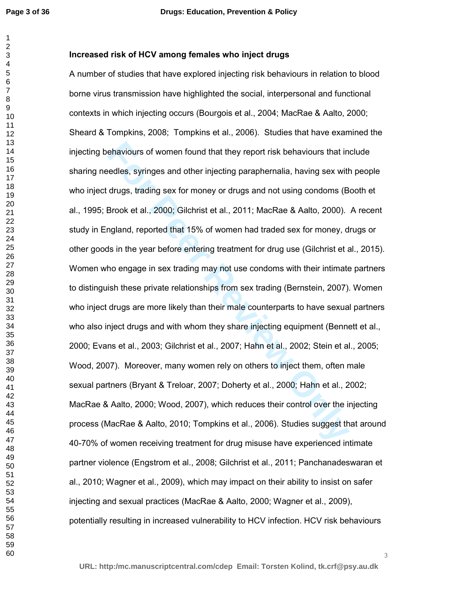## **Increased risk of HCV among females who inject drugs**

ehaviours of women found that they report risk behaviours that in<br>redles, syringes and other injecting paraphernalia, having sex with<br>drugs, trading sex for money or drugs and not using condoms (B<br>Brook et al., 2000; Gilch A number of studies that have explored injecting risk behaviours in relation to blood borne virus transmission have highlighted the social, interpersonal and functional contexts in which injecting occurs (Bourgois et al., 2004; MacRae & Aalto, 2000; Sheard & Tompkins, 2008; Tompkins et al., 2006). Studies that have examined the injecting behaviours of women found that they report risk behaviours that include sharing needles, syringes and other injecting paraphernalia, having sex with people who inject drugs, trading sex for money or drugs and not using condoms (Booth et al., 1995; Brook et al., 2000; Gilchrist et al., 2011; MacRae & Aalto, 2000). A recent study in England, reported that 15% of women had traded sex for money, drugs or other goods in the year before entering treatment for drug use (Gilchrist et al., 2015). Women who engage in sex trading may not use condoms with their intimate partners to distinguish these private relationships from sex trading (Bernstein, 2007). Women who inject drugs are more likely than their male counterparts to have sexual partners who also inject drugs and with whom they share injecting equipment (Bennett et al., 2000; Evans et al., 2003; Gilchrist et al., 2007; Hahn et al., 2002; Stein et al., 2005; Wood, 2007). Moreover, many women rely on others to inject them, often male sexual partners (Bryant & Treloar, 2007; Doherty et al., 2000; Hahn et al., 2002; MacRae & Aalto, 2000; Wood, 2007), which reduces their control over the injecting process (MacRae & Aalto, 2010; Tompkins et al., 2006). Studies suggest that around 40-70% of women receiving treatment for drug misuse have experienced intimate partner violence (Engstrom et al., 2008; Gilchrist et al., 2011; Panchanadeswaran et al., 2010; Wagner et al., 2009), which may impact on their ability to insist on safer injecting and sexual practices (MacRae & Aalto, 2000; Wagner et al., 2009), potentially resulting in increased vulnerability to HCV infection. HCV risk behaviours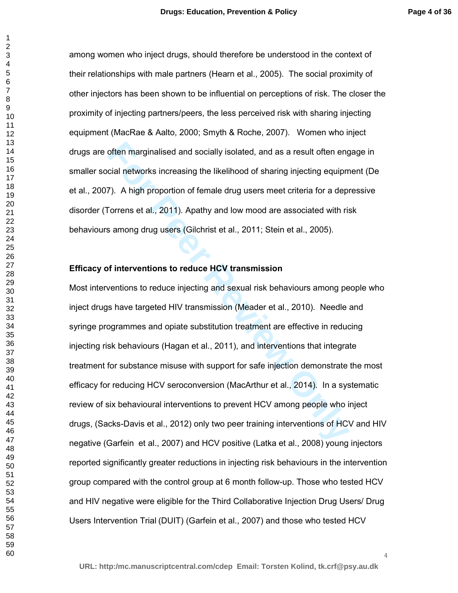among women who inject drugs, should therefore be understood in the context of their relationships with male partners (Hearn et al., 2005). The social proximity of other injectors has been shown to be influential on perceptions of risk. The closer the proximity of injecting partners/peers, the less perceived risk with sharing injecting equipment (MacRae & Aalto, 2000; Smyth & Roche, 2007). Women who inject drugs are often marginalised and socially isolated, and as a result often engage in smaller social networks increasing the likelihood of sharing injecting equipment (De et al., 2007). A high proportion of female drug users meet criteria for a depressive disorder (Torrens et al., 2011). Apathy and low mood are associated with risk behaviours among drug users (Gilchrist et al., 2011; Stein et al., 2005).

#### **Efficacy of interventions to reduce HCV transmission**

often marginalised and socially isolated, and as a result often engional networks increasing the likelihood of sharing injecting equipm<br> **Formally are Formally and Formally and Society Compare Sections of Society Correns e** Most interventions to reduce injecting and sexual risk behaviours among people who inject drugs have targeted HIV transmission (Meader et al., 2010). Needle and syringe programmes and opiate substitution treatment are effective in reducing injecting risk behaviours (Hagan et al., 2011), and interventions that integrate treatment for substance misuse with support for safe injection demonstrate the most efficacy for reducing HCV seroconversion (MacArthur et al., 2014). In a systematic review of six behavioural interventions to prevent HCV among people who inject drugs, (Sacks-Davis et al., 2012) only two peer training interventions of HCV and HIV negative (Garfein et al., 2007) and HCV positive (Latka et al., 2008) young injectors reported significantly greater reductions in injecting risk behaviours in the intervention group compared with the control group at 6 month follow-up. Those who tested HCV and HIV negative were eligible for the Third Collaborative Injection Drug Users/ Drug Users Intervention Trial (DUIT) (Garfein et al., 2007) and those who tested HCV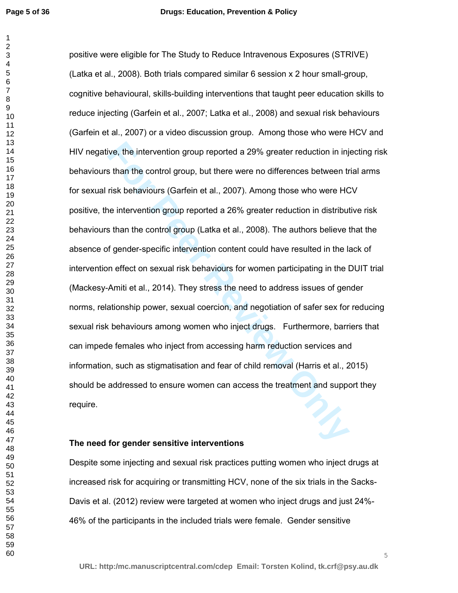ive, the intervention group reported a 29% greater reduction in inj<br>s than the control group, but there were no differences between tr<br>risk behaviours (Garfein et al., 2007). Among those who were HC<br>ne intervention group r positive were eligible for The Study to Reduce Intravenous Exposures (STRIVE) (Latka et al., 2008). Both trials compared similar 6 session x 2 hour small-group, cognitive behavioural, skills-building interventions that taught peer education skills to reduce injecting (Garfein et al., 2007; Latka et al., 2008) and sexual risk behaviours (Garfein et al., 2007) or a video discussion group. Among those who were HCV and HIV negative, the intervention group reported a 29% greater reduction in injecting risk behaviours than the control group, but there were no differences between trial arms for sexual risk behaviours (Garfein et al., 2007). Among those who were HCV positive, the intervention group reported a 26% greater reduction in distributive risk behaviours than the control group (Latka et al., 2008). The authors believe that the absence of gender-specific intervention content could have resulted in the lack of intervention effect on sexual risk behaviours for women participating in the DUIT trial (Mackesy-Amiti et al., 2014). They stress the need to address issues of gender norms, relationship power, sexual coercion, and negotiation of safer sex for reducing sexual risk behaviours among women who inject drugs. Furthermore, barriers that can impede females who inject from accessing harm reduction services and information, such as stigmatisation and fear of child removal (Harris et al., 2015) should be addressed to ensure women can access the treatment and support they require.

### **The need for gender sensitive interventions**

Despite some injecting and sexual risk practices putting women who inject drugs at increased risk for acquiring or transmitting HCV, none of the six trials in the Sacks-Davis et al. (2012) review were targeted at women who inject drugs and just 24%- 46% of the participants in the included trials were female. Gender sensitive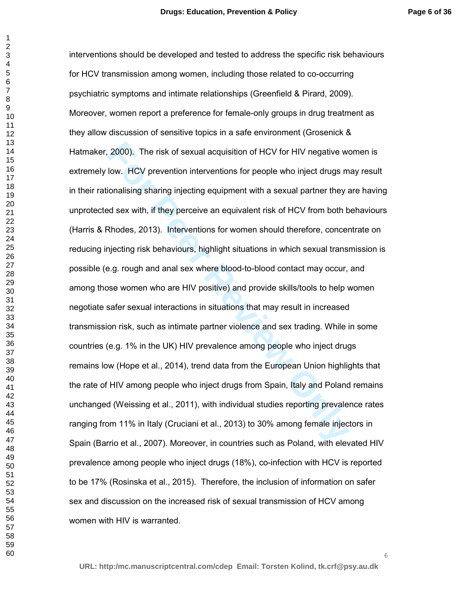2000). The risk of sexual acquisition of HCV for HIV negative w<br>low. HCV prevention interventions for people who inject drugs m<br>ionalising sharing injecting equipment with a sexual partner they and<br>ionalising sharing injec interventions should be developed and tested to address the specific risk behaviours for HCV transmission among women, including those related to co-occurring psychiatric symptoms and intimate relationships (Greenfield & Pirard, 2009). Moreover, women report a preference for female-only groups in drug treatment as they allow discussion of sensitive topics in a safe environment (Grosenick & Hatmaker, 2000). The risk of sexual acquisition of HCV for HIV negative women is extremely low. HCV prevention interventions for people who inject drugs may result in their rationalising sharing injecting equipment with a sexual partner they are having unprotected sex with, if they perceive an equivalent risk of HCV from both behaviours (Harris & Rhodes, 2013). Interventions for women should therefore, concentrate on reducing injecting risk behaviours, highlight situations in which sexual transmission is possible (e.g. rough and anal sex where blood-to-blood contact may occur, and among those women who are HIV positive) and provide skills/tools to help women negotiate safer sexual interactions in situations that may result in increased transmission risk, such as intimate partner violence and sex trading. While in some countries (e.g. 1% in the UK) HIV prevalence among people who inject drugs remains low (Hope et al., 2014), trend data from the European Union highlights that the rate of HIV among people who inject drugs from Spain, Italy and Poland remains unchanged (Weissing et al., 2011), with individual studies reporting prevalence rates ranging from 11% in Italy (Cruciani et al., 2013) to 30% among female injectors in Spain (Barrio et al., 2007). Moreover, in countries such as Poland, with elevated HIV prevalence among people who inject drugs (18%), co-infection with HCV is reported to be 17% (Rosinska et al., 2015). Therefore, the inclusion of information on safer sex and discussion on the increased risk of sexual transmission of HCV among women with HIV is warranted.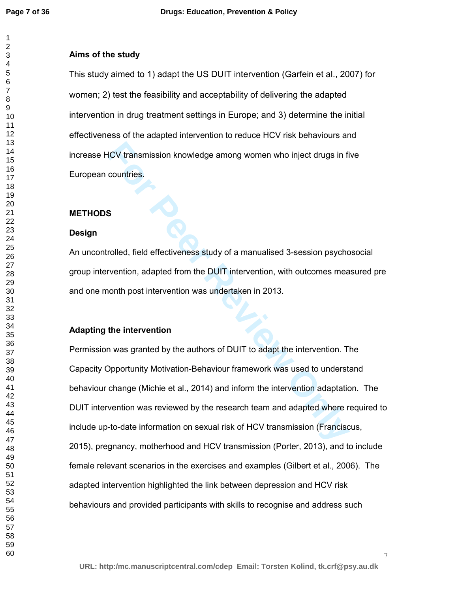### **Aims of the study**

This study aimed to 1) adapt the US DUIT intervention (Garfein et al., 2007) for women; 2) test the feasibility and acceptability of delivering the adapted intervention in drug treatment settings in Europe; and 3) determine the initial effectiveness of the adapted intervention to reduce HCV risk behaviours and increase HCV transmission knowledge among women who inject drugs in five European countries.

### **METHODS**

## **Design**

An uncontrolled, field effectiveness study of a manualised 3-session psychosocial group intervention, adapted from the DUIT intervention, with outcomes measured pre and one month post intervention was undertaken in 2013.

## **Adapting the intervention**

**Formal EXEC SECT THEOTER CONTROLLET SCHOLE CONDUCT CONDUCT CONDUCT CONDUCT CONDUCT CONDUCT CONDUCT CONDUCT AND CONDUCT THE INTERVATION (FOR PER REVIEW ON A SUPPRENDICT AND A SUPPRENDICT AND A SUPPRENDICT AND A SUPPRENDICT** Permission was granted by the authors of DUIT to adapt the intervention. The Capacity Opportunity Motivation-Behaviour framework was used to understand behaviour change (Michie et al., 2014) and inform the intervention adaptation. The DUIT intervention was reviewed by the research team and adapted where required to include up-to-date information on sexual risk of HCV transmission (Franciscus, 2015), pregnancy, motherhood and HCV transmission (Porter, 2013), and to include female relevant scenarios in the exercises and examples (Gilbert et al., 2006). The adapted intervention highlighted the link between depression and HCV risk behaviours and provided participants with skills to recognise and address such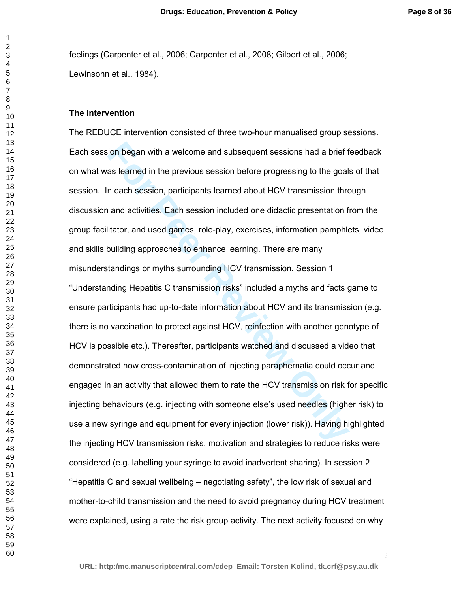feelings (Carpenter et al., 2006; Carpenter et al., 2008; Gilbert et al., 2006; Lewinsohn et al., 1984).

#### **The intervention**

ion began with a welcome and subsequent sessions had a brief fas learned in the previous session before progressing to the goals<br>n each session, participants learned about HCV transmission thre<br>and activities. Each session The REDUCE intervention consisted of three two-hour manualised group sessions. Each session began with a welcome and subsequent sessions had a brief feedback on what was learned in the previous session before progressing to the goals of that session. In each session, participants learned about HCV transmission through discussion and activities. Each session included one didactic presentation from the group facilitator, and used games, role-play, exercises, information pamphlets, video and skills building approaches to enhance learning. There are many misunderstandings or myths surrounding HCV transmission. Session 1 "Understanding Hepatitis C transmission risks" included a myths and facts game to ensure participants had up-to-date information about HCV and its transmission (e.g. there is no vaccination to protect against HCV, reinfection with another genotype of HCV is possible etc.). Thereafter, participants watched and discussed a video that demonstrated how cross-contamination of injecting paraphernalia could occur and engaged in an activity that allowed them to rate the HCV transmission risk for specific injecting behaviours (e.g. injecting with someone else's used needles (higher risk) to use a new syringe and equipment for every injection (lower risk)). Having highlighted the injecting HCV transmission risks, motivation and strategies to reduce risks were considered (e.g. labelling your syringe to avoid inadvertent sharing). In session 2 "Hepatitis C and sexual wellbeing – negotiating safety", the low risk of sexual and mother-to-child transmission and the need to avoid pregnancy during HCV treatment were explained, using a rate the risk group activity. The next activity focused on why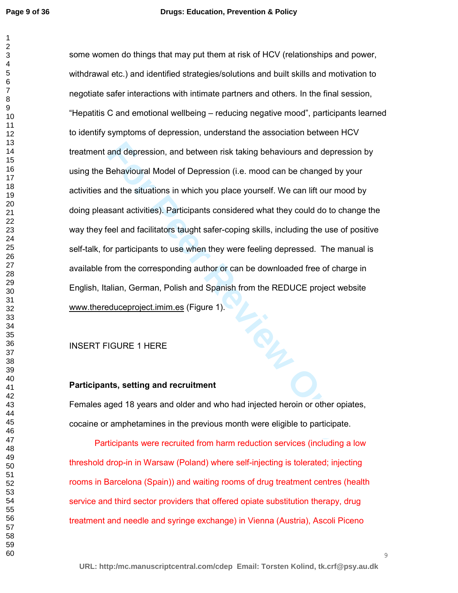and depression, and between risk taking behaviours and depress<br>Behavioural Model of Depression (i.e. mood can be changed by y<br>and the situations in which you place yourself. We can lift our moo<br>sant activities). Participan some women do things that may put them at risk of HCV (relationships and power, withdrawal etc.) and identified strategies/solutions and built skills and motivation to negotiate safer interactions with intimate partners and others. In the final session, "Hepatitis C and emotional wellbeing – reducing negative mood", participants learned to identify symptoms of depression, understand the association between HCV treatment and depression, and between risk taking behaviours and depression by using the Behavioural Model of Depression (i.e. mood can be changed by your activities and the situations in which you place yourself. We can lift our mood by doing pleasant activities). Participants considered what they could do to change the way they feel and facilitators taught safer-coping skills, including the use of positive self-talk, for participants to use when they were feeling depressed. The manual is available from the corresponding author or can be downloaded free of charge in English, Italian, German, Polish and Spanish from the REDUCE project website www.thereduceproject.imim.es (Figure 1).

# INSERT FIGURE 1 HERE

#### **Participants, setting and recruitment**

Females aged 18 years and older and who had injected heroin or other opiates, cocaine or amphetamines in the previous month were eligible to participate.

Participants were recruited from harm reduction services (including a low threshold drop-in in Warsaw (Poland) where self-injecting is tolerated; injecting rooms in Barcelona (Spain)) and waiting rooms of drug treatment centres (health service and third sector providers that offered opiate substitution therapy, drug treatment and needle and syringe exchange) in Vienna (Austria), Ascoli Piceno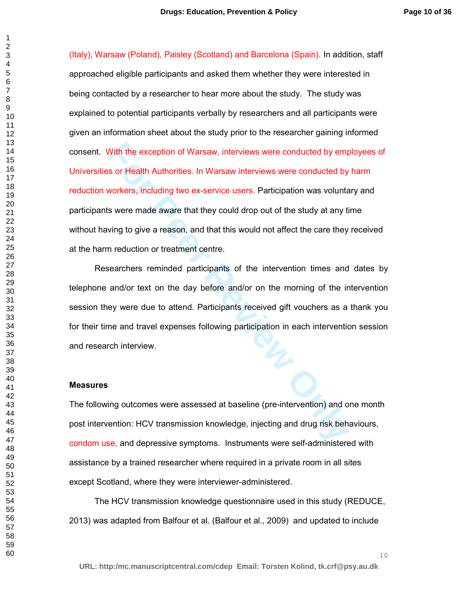With the exception of Warsaw, interviews were conducted by empty or Health Authorities. In Warsaw interviews were conducted by workers, including two ex-service users. Participation was voluntates were made aware that they (Italy), Warsaw (Poland), Paisley (Scotland) and Barcelona (Spain). In addition, staff approached eligible participants and asked them whether they were interested in being contacted by a researcher to hear more about the study. The study was explained to potential participants verbally by researchers and all participants were given an information sheet about the study prior to the researcher gaining informed consent. With the exception of Warsaw, interviews were conducted by employees of Universities or Health Authorities. In Warsaw interviews were conducted by harm reduction workers, including two ex-service users. Participation was voluntary and participants were made aware that they could drop out of the study at any time without having to give a reason, and that this would not affect the care they received at the harm reduction or treatment centre.

Researchers reminded participants of the intervention times and dates by telephone and/or text on the day before and/or on the morning of the intervention session they were due to attend. Participants received gift vouchers as a thank you for their time and travel expenses following participation in each intervention session and research interview.

#### **Measures**

The following outcomes were assessed at baseline (pre-intervention) and one month post intervention: HCV transmission knowledge, injecting and drug risk behaviours, condom use, and depressive symptoms. Instruments were self-administered with assistance by a trained researcher where required in a private room in all sites except Scotland, where they were interviewer-administered.

The HCV transmission knowledge questionnaire used in this study (REDUCE, 2013) was adapted from Balfour et al. (Balfour et al., 2009) and updated to include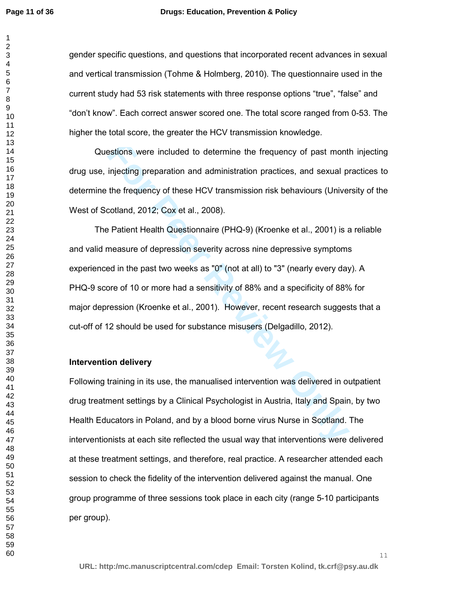#### **Drugs: Education, Prevention & Policy**

gender specific questions, and questions that incorporated recent advances in sexual and vertical transmission (Tohme & Holmberg, 2010). The questionnaire used in the current study had 53 risk statements with three response options "true", "false" and "don't know". Each correct answer scored one. The total score ranged from 0-53. The higher the total score, the greater the HCV transmission knowledge.

Questions were included to determine the frequency of past month injecting drug use, injecting preparation and administration practices, and sexual practices to determine the frequency of these HCV transmission risk behaviours (University of the West of Scotland, 2012; Cox et al., 2008).

estions were included to determine the frequency of past montliniecting preparation and administration practices, and sexual pite frequency of these HCV transmission risk behaviours (Univercotland, 2012; Cox et al., 2008). The Patient Health Questionnaire (PHQ-9) (Kroenke et al., 2001) is a reliable and valid measure of depression severity across nine depressive symptoms experienced in the past two weeks as "0" (not at all) to "3" (nearly every day). A PHQ-9 score of 10 or more had a sensitivity of 88% and a specificity of 88% for major depression (Kroenke et al., 2001). However, recent research suggests that a cut-off of 12 should be used for substance misusers (Delgadillo, 2012).

### **Intervention delivery**

Following training in its use, the manualised intervention was delivered in outpatient drug treatment settings by a Clinical Psychologist in Austria, Italy and Spain, by two Health Educators in Poland, and by a blood borne virus Nurse in Scotland. The interventionists at each site reflected the usual way that interventions were delivered at these treatment settings, and therefore, real practice. A researcher attended each session to check the fidelity of the intervention delivered against the manual. One group programme of three sessions took place in each city (range 5-10 participants per group).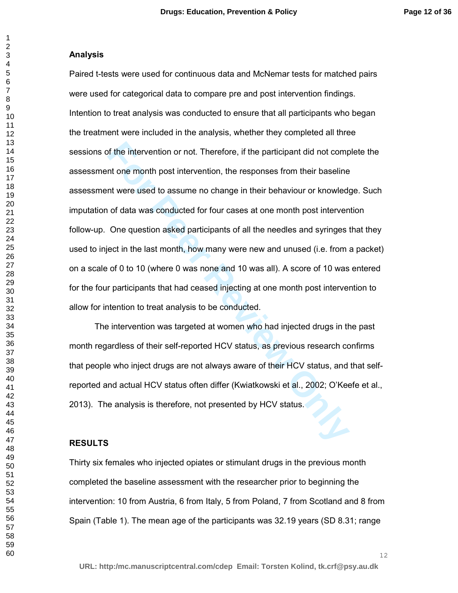#### **Analysis**

of the intervention or not. Therefore, if the participant did not computed to mean month post intervention, the responses from their baseline in the mean month post intervention, the responses from their baseline in the me Paired t-tests were used for continuous data and McNemar tests for matched pairs were used for categorical data to compare pre and post intervention findings. Intention to treat analysis was conducted to ensure that all participants who began the treatment were included in the analysis, whether they completed all three sessions of the intervention or not. Therefore, if the participant did not complete the assessment one month post intervention, the responses from their baseline assessment were used to assume no change in their behaviour or knowledge. Such imputation of data was conducted for four cases at one month post intervention follow-up. One question asked participants of all the needles and syringes that they used to inject in the last month, how many were new and unused (i.e. from a packet) on a scale of 0 to 10 (where 0 was none and 10 was all). A score of 10 was entered for the four participants that had ceased injecting at one month post intervention to allow for intention to treat analysis to be conducted.

The intervention was targeted at women who had injected drugs in the past month regardless of their self-reported HCV status, as previous research confirms that people who inject drugs are not always aware of their HCV status, and that selfreported and actual HCV status often differ (Kwiatkowski et al., 2002; O'Keefe et al., 2013). The analysis is therefore, not presented by HCV status.

### **RESULTS**

Thirty six females who injected opiates or stimulant drugs in the previous month completed the baseline assessment with the researcher prior to beginning the intervention: 10 from Austria, 6 from Italy, 5 from Poland, 7 from Scotland and 8 from Spain (Table 1). The mean age of the participants was 32.19 years (SD 8.31; range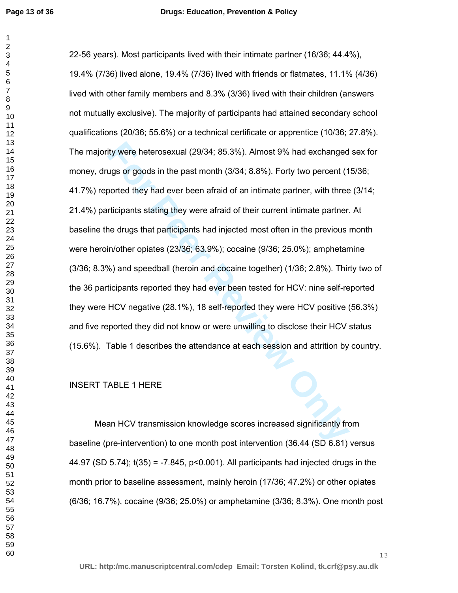ity were heterosexual (29/34; 85.3%). Almost 9% had exchanged<br>ugs or goods in the past month (3/34; 8.8%). Forty two percent (1<br>oorted they had ever been afraid of an intimate partner, with three<br>tricipants stating they we 22-56 years). Most participants lived with their intimate partner (16/36; 44.4%), 19.4% (7/36) lived alone, 19.4% (7/36) lived with friends or flatmates, 11.1% (4/36) lived with other family members and 8.3% (3/36) lived with their children (answers not mutually exclusive). The majority of participants had attained secondary school qualifications (20/36; 55.6%) or a technical certificate or apprentice (10/36; 27.8%). The majority were heterosexual (29/34; 85.3%). Almost 9% had exchanged sex for money, drugs or goods in the past month (3/34; 8.8%). Forty two percent (15/36; 41.7%) reported they had ever been afraid of an intimate partner, with three (3/14; 21.4%) participants stating they were afraid of their current intimate partner. At baseline the drugs that participants had injected most often in the previous month were heroin/other opiates (23/36; 63.9%); cocaine (9/36; 25.0%); amphetamine (3/36; 8.3%) and speedball (heroin and cocaine together) (1/36; 2.8%). Thirty two of the 36 participants reported they had ever been tested for HCV: nine self-reported they were HCV negative (28.1%), 18 self-reported they were HCV positive (56.3%) and five reported they did not know or were unwilling to disclose their HCV status (15.6%). Table 1 describes the attendance at each session and attrition by country.

INSERT TABLE 1 HERE

Mean HCV transmission knowledge scores increased significantly from baseline (pre-intervention) to one month post intervention (36.44 (SD 6.81) versus 44.97 (SD 5.74); t(35) = -7.845, p<0.001). All participants had injected drugs in the month prior to baseline assessment, mainly heroin (17/36; 47.2%) or other opiates (6/36; 16.7%), cocaine (9/36; 25.0%) or amphetamine (3/36; 8.3%). One month post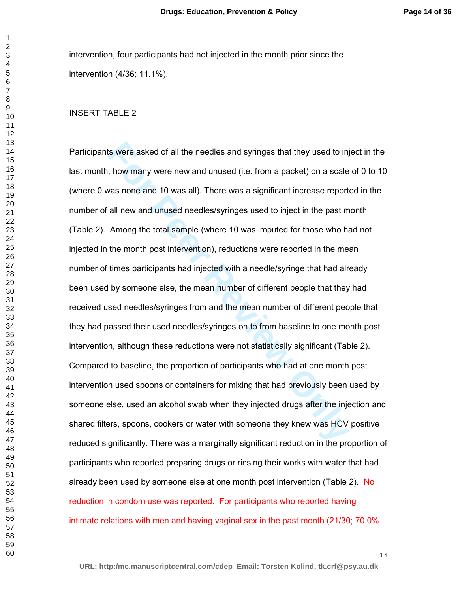intervention, four participants had not injected in the month prior since the intervention (4/36; 11.1%).

#### INSERT TABLE 2

Its were asked of all the needles and syringes that they used to inj<br>, how many were new and unused (i.e. from a packet) on a scale<br>vas none and 10 was all). There was a significant increase report<br>all new and unused needl Participants were asked of all the needles and syringes that they used to inject in the last month, how many were new and unused (i.e. from a packet) on a scale of 0 to 10 (where 0 was none and 10 was all). There was a significant increase reported in the number of all new and unused needles/syringes used to inject in the past month (Table 2). Among the total sample (where 10 was imputed for those who had not injected in the month post intervention), reductions were reported in the mean number of times participants had injected with a needle/syringe that had already been used by someone else, the mean number of different people that they had received used needles/syringes from and the mean number of different people that they had passed their used needles/syringes on to from baseline to one month post intervention, although these reductions were not statistically significant (Table 2). Compared to baseline, the proportion of participants who had at one month post intervention used spoons or containers for mixing that had previously been used by someone else, used an alcohol swab when they injected drugs after the injection and shared filters, spoons, cookers or water with someone they knew was HCV positive reduced significantly. There was a marginally significant reduction in the proportion of participants who reported preparing drugs or rinsing their works with water that had already been used by someone else at one month post intervention (Table 2). No reduction in condom use was reported. For participants who reported having intimate relations with men and having vaginal sex in the past month (21/30; 70.0%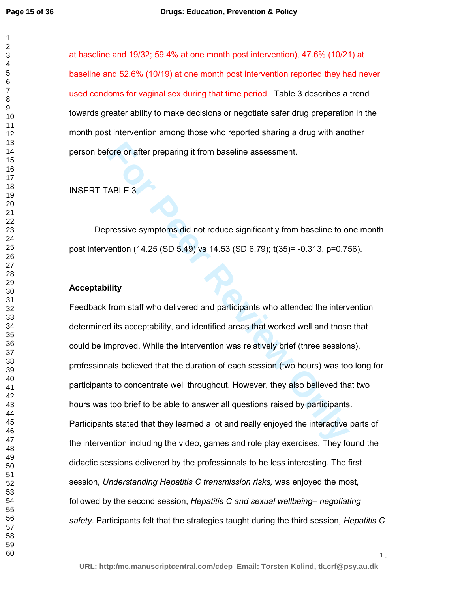at baseline and 19/32; 59.4% at one month post intervention), 47.6% (10/21) at baseline and 52.6% (10/19) at one month post intervention reported they had never used condoms for vaginal sex during that time period. Table 3 describes a trend towards greater ability to make decisions or negotiate safer drug preparation in the month post intervention among those who reported sharing a drug with another person before or after preparing it from baseline assessment.

# INSERT TABLE 3

Depressive symptoms did not reduce significantly from baseline to one month post intervention (14.25 (SD 5.49) vs 14.53 (SD 6.79); t(35)= -0.313, p=0.756).

## **Acceptability**

fore or after preparing it from baseline assessment.<br>
ABLE 3<br> **FORMALE 3**<br> **FORMALE 3**<br> **FORMALE 3**<br> **FORMALE 3**<br> **FORMALE 3**<br> **FORMALE 3**<br> **FORMALE 3**<br> **FORMALE 3**<br> **FORMALE 3**<br> **FORMALE 3**<br> **FORMALE 3**<br> **FORMALE 3**<br> **FOR** Feedback from staff who delivered and participants who attended the intervention determined its acceptability, and identified areas that worked well and those that could be improved. While the intervention was relatively brief (three sessions), professionals believed that the duration of each session (two hours) was too long for participants to concentrate well throughout. However, they also believed that two hours was too brief to be able to answer all questions raised by participants. Participants stated that they learned a lot and really enjoyed the interactive parts of the intervention including the video, games and role play exercises. They found the didactic sessions delivered by the professionals to be less interesting. The first session, *Understanding Hepatitis C transmission risks,* was enjoyed the most, followed by the second session, *Hepatitis C and sexual wellbeing– negotiating safety*. Participants felt that the strategies taught during the third session, *Hepatitis C*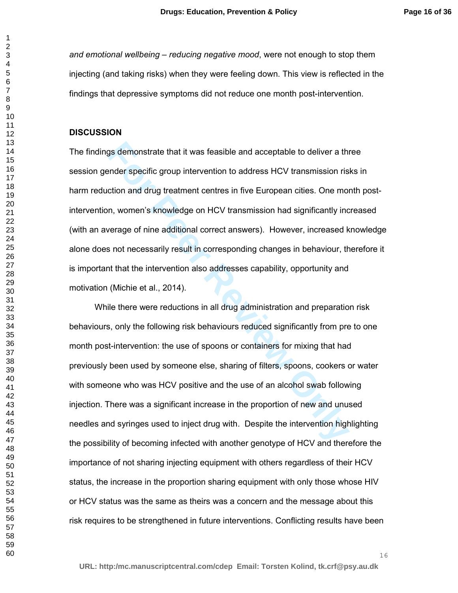*and emotional wellbeing – reducing negative mood*, were not enough to stop them injecting (and taking risks) when they were feeling down. This view is reflected in the findings that depressive symptoms did not reduce one month post-intervention.

#### **DISCUSSION**

gs demonstrate that it was feasible and acceptable to deliver a the<br>ender specific group intervention to address HCV transmission ris<br>ction and drug treatment centres in five European cities. One mon<br>on, women's knowledge The findings demonstrate that it was feasible and acceptable to deliver a three session gender specific group intervention to address HCV transmission risks in harm reduction and drug treatment centres in five European cities. One month postintervention, women's knowledge on HCV transmission had significantly increased (with an average of nine additional correct answers). However, increased knowledge alone does not necessarily result in corresponding changes in behaviour, therefore it is important that the intervention also addresses capability, opportunity and motivation (Michie et al., 2014).

While there were reductions in all drug administration and preparation risk behaviours, only the following risk behaviours reduced significantly from pre to one month post-intervention: the use of spoons or containers for mixing that had previously been used by someone else, sharing of filters, spoons, cookers or water with someone who was HCV positive and the use of an alcohol swab following injection. There was a significant increase in the proportion of new and unused needles and syringes used to inject drug with. Despite the intervention highlighting the possibility of becoming infected with another genotype of HCV and therefore the importance of not sharing injecting equipment with others regardless of their HCV status, the increase in the proportion sharing equipment with only those whose HIV or HCV status was the same as theirs was a concern and the message about this risk requires to be strengthened in future interventions. Conflicting results have been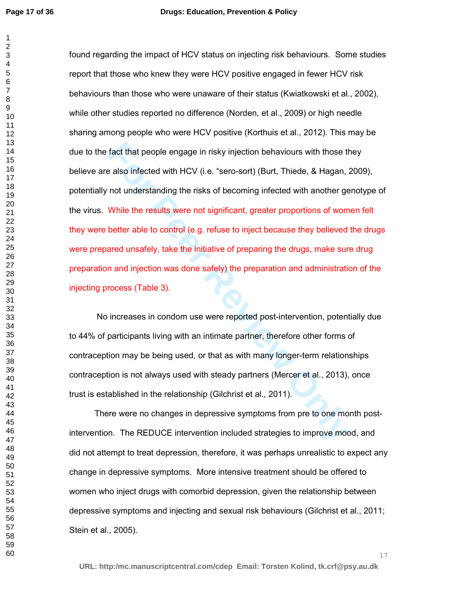fact that people engage in risky injection behaviours with those the also infected with HCV (i.e. "sero-sort) (Burt, Thiede, & Hagan, *i* not understanding the risks of becoming infected with another ge While the results w found regarding the impact of HCV status on injecting risk behaviours. Some studies report that those who knew they were HCV positive engaged in fewer HCV risk behaviours than those who were unaware of their status (Kwiatkowski et al., 2002), while other studies reported no difference (Norden, et al., 2009) or high needle sharing among people who were HCV positive (Korthuis et al., 2012). This may be due to the fact that people engage in risky injection behaviours with those they believe are also infected with HCV (i.e. "sero-sort) (Burt, Thiede, & Hagan, 2009), potentially not understanding the risks of becoming infected with another genotype of the virus. While the results were not significant, greater proportions of women felt they were better able to control (e.g. refuse to inject because they believed the drugs were prepared unsafely, take the initiative of preparing the drugs, make sure drug preparation and injection was done safely) the preparation and administration of the injecting process (Table 3).

No increases in condom use were reported post-intervention, potentially due to 44% of participants living with an intimate partner, therefore other forms of contraception may be being used, or that as with many longer-term relationships contraception is not always used with steady partners (Mercer et al., 2013), once trust is established in the relationship (Gilchrist et al., 2011).

There were no changes in depressive symptoms from pre to one month postintervention. The REDUCE intervention included strategies to improve mood, and did not attempt to treat depression, therefore, it was perhaps unrealistic to expect any change in depressive symptoms. More intensive treatment should be offered to women who inject drugs with comorbid depression, given the relationship between depressive symptoms and injecting and sexual risk behaviours (Gilchrist et al., 2011; Stein et al., 2005).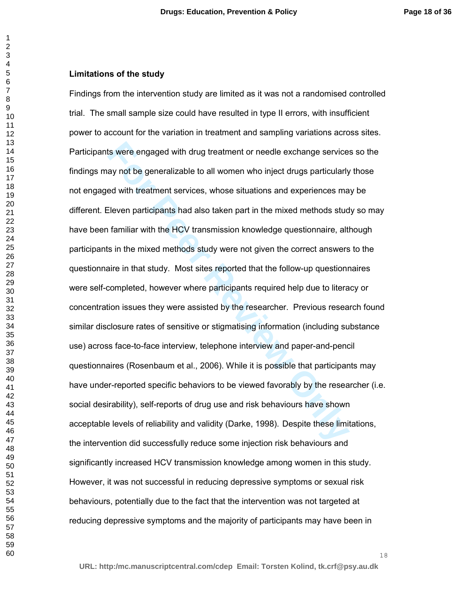## **Limitations of the study**

Its were engaged with drug treatment or needle exchange services<br>ay not be generalizable to all women who inject drugs particularly<br>ed with treatment services, whose situations and experiences ma<br>Eleven participants had al Findings from the intervention study are limited as it was not a randomised controlled trial. The small sample size could have resulted in type II errors, with insufficient power to account for the variation in treatment and sampling variations across sites. Participants were engaged with drug treatment or needle exchange services so the findings may not be generalizable to all women who inject drugs particularly those not engaged with treatment services, whose situations and experiences may be different. Eleven participants had also taken part in the mixed methods study so may have been familiar with the HCV transmission knowledge questionnaire, although participants in the mixed methods study were not given the correct answers to the questionnaire in that study. Most sites reported that the follow-up questionnaires were self-completed, however where participants required help due to literacy or concentration issues they were assisted by the researcher.Previous research found similar disclosure rates of sensitive or stigmatising information (including substance use) across face-to-face interview, telephone interview and paper-and-pencil questionnaires (Rosenbaum et al., 2006). While it is possible that participants may have under-reported specific behaviors to be viewed favorably by the researcher (i.e. social desirability), self-reports of drug use and risk behaviours have shown acceptable levels of reliability and validity (Darke, 1998). Despite these limitations, the intervention did successfully reduce some injection risk behaviours and significantly increased HCV transmission knowledge among women in this study. However, it was not successful in reducing depressive symptoms or sexual risk behaviours, potentially due to the fact that the intervention was not targeted at reducing depressive symptoms and the majority of participants may have been in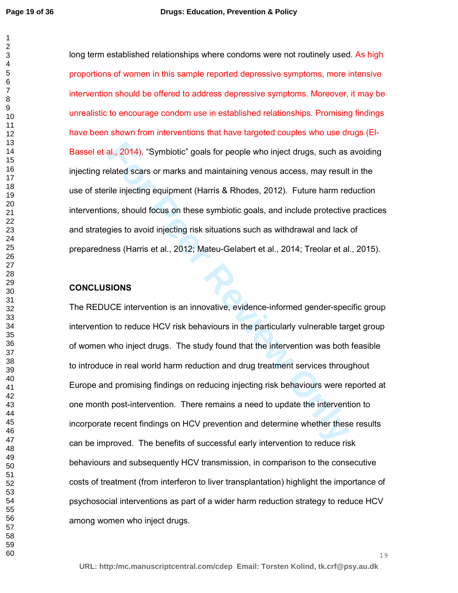long term established relationships where condoms were not routinely used. As high proportions of women in this sample reported depressive symptoms, more intensive intervention should be offered to address depressive symptoms. Moreover, it may be unrealistic to encourage condom use in established relationships. Promising findings have been shown from interventions that have targeted couples who use drugs (El-Bassel et al., 2014). "Symbiotic" goals for people who inject drugs, such as avoiding injecting related scars or marks and maintaining venous access, may result in the use of sterile injecting equipment (Harris & Rhodes, 2012). Future harm reduction interventions, should focus on these symbiotic goals, and include protective practices and strategies to avoid injecting risk situations such as withdrawal and lack of preparedness (Harris et al., 2012; Mateu-Gelabert et al., 2014; Treolar et al., 2015).

### **CONCLUSIONS**

**For Perront Symbiotic"** goals for people who inject drugs, such as<br>Felated scars or marks and maintaining venous access, may result<br>The injecting equipment (Harris & Rhodes, 2012). Future harm recoms, should focus on thes The REDUCE intervention is an innovative, evidence-informed gender-specific group intervention to reduce HCV risk behaviours in the particularly vulnerable target group of women who inject drugs. The study found that the intervention was both feasible to introduce in real world harm reduction and drug treatment services throughout Europe and promising findings on reducing injecting risk behaviours were reported at one month post-intervention. There remains a need to update the intervention to incorporate recent findings on HCV prevention and determine whether these results can be improved. The benefits of successful early intervention to reduce risk behaviours and subsequently HCV transmission, in comparison to the consecutive costs of treatment (from interferon to liver transplantation) highlight the importance of psychosocial interventions as part of a wider harm reduction strategy to reduce HCV among women who inject drugs.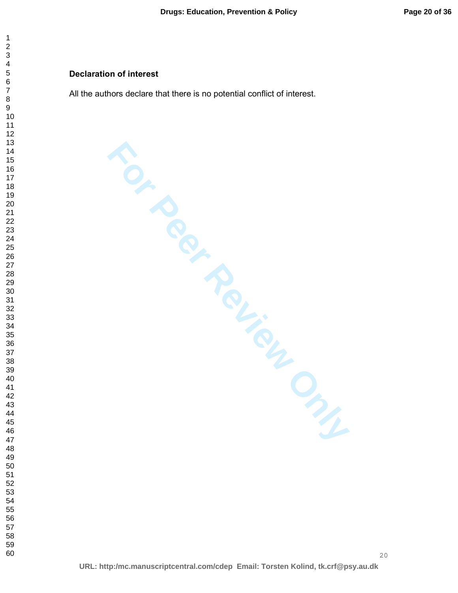# **Declaration of interest**

All the authors declare that there is no potential conflict of interest.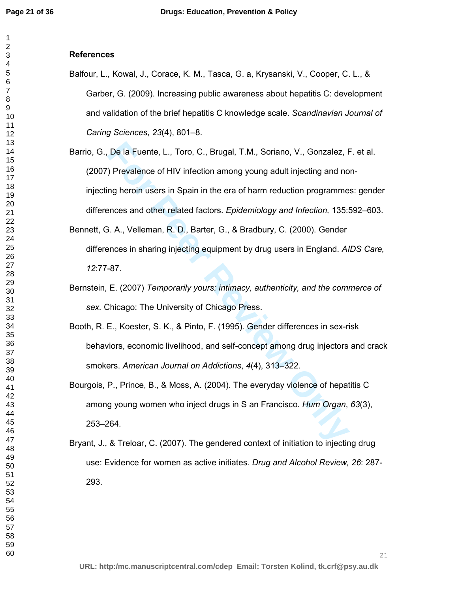# **References**

- Balfour, L., Kowal, J., Corace, K. M., Tasca, G. a, Krysanski, V., Cooper, C. L., & Garber, G. (2009). Increasing public awareness about hepatitis C: development and validation of the brief hepatitis C knowledge scale. *Scandinavian Journal of Caring Sciences*, *23*(4), 801–8.
- De la Fuente, L., Toro, C., Brugal, T.M., Soriano, V., Gonzalez, F.<br>
) Prevalence of HIV infection among young adult injecting and no<br>
ng heroin users in Spain in the era of harm reduction programme<br>
ences and other relate Barrio, G., De la Fuente, L., Toro, C., Brugal, T.M., Soriano, V., Gonzalez, F. et al. (2007) Prevalence of HIV infection among young adult injecting and noninjecting heroin users in Spain in the era of harm reduction programmes: gender differences and other related factors. *Epidemiology and Infection,* 135:592–603.
- Bennett, G. A., Velleman, R. D., Barter, G., & Bradbury, C. (2000). Gender differences in sharing injecting equipment by drug users in England. *AIDS Care,*  :77-87.
- Bernstein, E. (2007) *Temporarily yours: intimacy, authenticity, and the commerce of sex.* Chicago: The University of Chicago Press.
- Booth, R. E., Koester, S. K., & Pinto, F. (1995). Gender differences in sex-risk behaviors, economic livelihood, and self-concept among drug injectors and crack smokers. *American Journal on Addictions*, *4*(4), 313–322.
- Bourgois, P., Prince, B., & Moss, A. (2004). The everyday violence of hepatitis C among young women who inject drugs in S an Francisco. *Hum Organ*, *63*(3), 253–264.
- Bryant, J., & Treloar, C. (2007). The gendered context of initiation to injecting drug use: Evidence for women as active initiates. *Drug and Alcohol Review, 26*: 287- 293.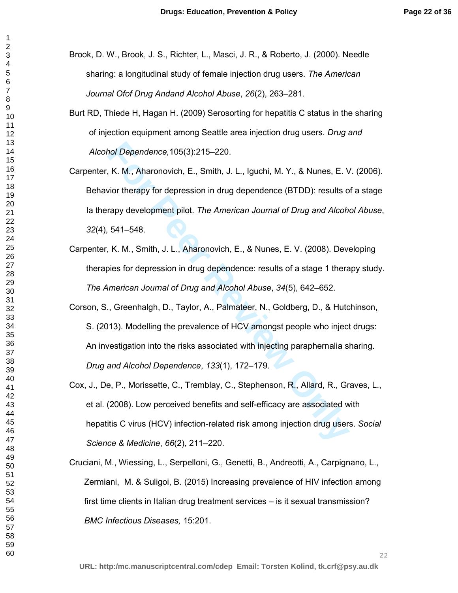Brook, D. W., Brook, J. S., Richter, L., Masci, J. R., & Roberto, J. (2000). Needle sharing: a longitudinal study of female injection drug users. *The American Journal Ofof Drug Andand Alcohol Abuse*, *26*(2), 263–281.

- Burt RD, Thiede H, Hagan H. (2009) Serosorting for hepatitis C status in the sharing of injection equipment among Seattle area injection drug users. *Drug and Alcohol Dependence,*105(3):215–220.
- Carpenter, K. M., Aharonovich, E., Smith, J. L., Iguchi, M. Y., & Nunes, E. V. (2006). Behavior therapy for depression in drug dependence (BTDD): results of a stage Ia therapy development pilot. *The American Journal of Drug and Alcohol Abuse*, (4), 541–548.
- Carpenter, K. M., Smith, J. L., Aharonovich, E., & Nunes, E. V. (2008). Developing therapies for depression in drug dependence: results of a stage 1 therapy study. *The American Journal of Drug and Alcohol Abuse*, *34*(5), 642–652.
- the Dependence, 105(3):215–220.<br> **For Peer Review Condomic E.**, Smith, J. L., Iguchi, M. Y., & Nunes, E. V<br>
For therapy for depression in drug dependence (BTDD): results of<br>
For therapy development pilot. *The American Jou* Corson, S., Greenhalgh, D., Taylor, A., Palmateer, N., Goldberg, D., & Hutchinson, S. (2013). Modelling the prevalence of HCV amongst people who inject drugs: An investigation into the risks associated with injecting paraphernalia sharing. *Drug and Alcohol Dependence*, *133*(1), 172–179.
- Cox, J., De, P., Morissette, C., Tremblay, C., Stephenson, R., Allard, R., Graves, L., et al. (2008). Low perceived benefits and self-efficacy are associated with hepatitis C virus (HCV) infection-related risk among injection drug users. *Social Science & Medicine*, *66*(2), 211–220.
- Cruciani, M., Wiessing, L., Serpelloni, G., Genetti, B., Andreotti, A., Carpignano, L., Zermiani, M. & Suligoi, B. (2015) Increasing prevalence of HIV infection among first time clients in Italian drug treatment services – is it sexual transmission? *BMC Infectious Diseases,* 15:201.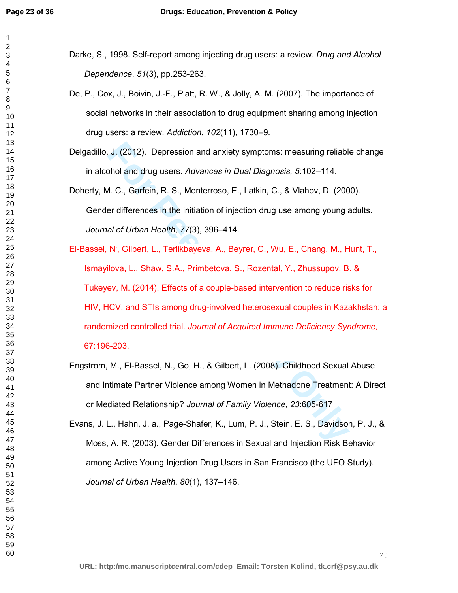- Darke, S., 1998. Self-report among injecting drug users: a review. *Drug and Alcohol Dependence*, *51*(3), pp.253-263.
- De, P., Cox, J., Boivin, J.-F., Platt, R. W., & Jolly, A. M. (2007). The importance of social networks in their association to drug equipment sharing among injection drug users: a review. *Addiction*, *102*(11), 1730–9.
- Delgadillo, J. (2012). Depression and anxiety symptoms: measuring reliable change in alcohol and drug users. *Advances in Dual Diagnosis, 5*:102–114.
- Doherty, M. C., Garfein, R. S., Monterroso, E., Latkin, C., & Vlahov, D. (2000). Gender differences in the initiation of injection drug use among young adults. *Journal of Urban Health*, *77*(3), 396–414.
- **J.** (2012). Depression and anxiety symptoms: measuring reliably<br>
And and drug users. Advances in Dual Diagnosis, 5:102–114.<br>
A. C., Garfein, R. S., Monterroso, E., Latkin, C., & Vlahov, D. (200<br>
er differences in the init El-Bassel, N<sup>.</sup>, Gilbert, L., Terlikbayeva, A., Beyrer, C., Wu, E., Chang, M., Hunt, T., Ismayilova, L., Shaw, S.A., Primbetova, S., Rozental, Y., Zhussupov, B. & Tukeyev, M. (2014). Effects of a couple-based intervention to reduce risks for HIV, HCV, and STIs among drug-involved heterosexual couples in Kazakhstan: a randomized controlled trial. *Journal of Acquired Immune Deficiency Syndrome,*  67:196-203.
- Engstrom, M., El-Bassel, N., Go, H., & Gilbert, L. (2008). Childhood Sexual Abuse and Intimate Partner Violence among Women in Methadone Treatment: A Direct or Mediated Relationship? *Journal of Family Violence, 23*:605-617
- Evans, J. L., Hahn, J. a., Page-Shafer, K., Lum, P. J., Stein, E. S., Davidson, P. J., & Moss, A. R. (2003). Gender Differences in Sexual and Injection Risk Behavior among Active Young Injection Drug Users in San Francisco (the UFO Study). *Journal of Urban Health*, *80*(1), 137–146.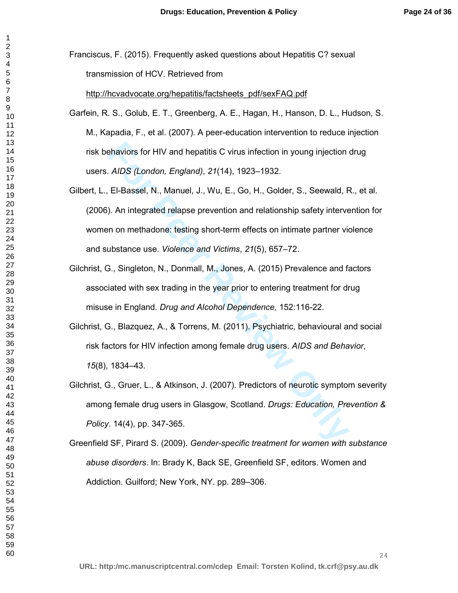Franciscus, F. (2015). Frequently asked questions about Hepatitis C? sexual transmission of HCV. Retrieved from

http://hcvadvocate.org/hepatitis/factsheets\_pdf/sexFAQ.pdf

- Garfein, R. S., Golub, E. T., Greenberg, A. E., Hagan, H., Hanson, D. L., Hudson, S. M., Kapadia, F., et al. (2007). A peer-education intervention to reduce injection risk behaviors for HIV and hepatitis C virus infection in young injection drug users. *AIDS (London, England)*, *21*(14), 1923–1932.
- ehaviors for HIV and hepatitis C virus infection in young injection<br> *AIDS (London, England), 21*(14), 1923–1932.<br>
El-Bassel, N., Manuel, J., Wu, E., Go, H., Golder, S., Seewald, F<br>
). An integrated relapse prevention and Gilbert, L., El-Bassel, N., Manuel, J., Wu, E., Go, H., Golder, S., Seewald, R., et al. (2006). An integrated relapse prevention and relationship safety intervention for women on methadone: testing short-term effects on intimate partner violence and substance use. *Violence and Victims*, *21*(5), 657–72.
- Gilchrist, G., Singleton, N., Donmall, M., Jones, A. (2015) Prevalence and factors associated with sex trading in the year prior to entering treatment for drug misuse in England. *Drug and Alcohol Dependence,* 152:116-22.
- Gilchrist, G., Blazquez, A., & Torrens, M. (2011). Psychiatric, behavioural and social risk factors for HIV infection among female drug users. *AIDS and Behavior*, (8), 1834–43.
- Gilchrist, G., Gruer, L., & Atkinson, J. (2007). Predictors of neurotic symptom severity among female drug users in Glasgow, Scotland. *Drugs: Education, Prevention & Policy*. 14(4), pp. 347-365.

Greenfield SF, Pirard S. (2009). *Gender-specific treatment for women with substance abuse disorders*. In: Brady K, Back SE, Greenfield SF, editors. Women and Addiction. Guilford; New York, NY. pp. 289–306.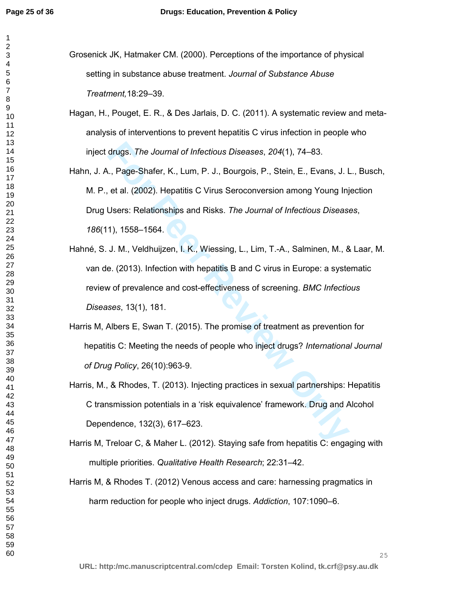- Grosenick JK, Hatmaker CM. (2000). Perceptions of the importance of physical setting in substance abuse treatment. *Journal of Substance Abuse Treatment,*18:29–39.
- Hagan, H., Pouget, E. R., & Des Jarlais, D. C. (2011). A systematic review and metaanalysis of interventions to prevent hepatitis C virus infection in people who inject drugs. *The Journal of Infectious Diseases*, *204*(1), 74–83.
- drugs. The Journal of Infectious Diseases, 204(1), 74–83.<br> **Example Shafer, K., Lum, P. J., Bourgois, P., Stein, E., Evans, J. L.**<br> **Et al. (2002). Hepatitis C Virus Seroconversion among Young Inj**<br> **Users: Relationships a** Hahn, J. A., Page-Shafer, K., Lum, P. J., Bourgois, P., Stein, E., Evans, J. L., Busch, M. P., et al. (2002). Hepatitis C Virus Seroconversion among Young Injection Drug Users: Relationships and Risks. *The Journal of Infectious Diseases*, (11), 1558–1564.
- Hahné, S. J. M., Veldhuijzen, I. K., Wiessing, L., Lim, T.-A., Salminen, M., & Laar, M. van de. (2013). Infection with hepatitis B and C virus in Europe: a systematic review of prevalence and cost-effectiveness of screening. *BMC Infectious Diseases*, 13(1), 181.
- Harris M, Albers E, Swan T. (2015). The promise of treatment as prevention for hepatitis C: Meeting the needs of people who inject drugs? *International Journal of Drug Policy*, 26(10):963-9.
- Harris, M., & Rhodes, T. (2013). Injecting practices in sexual partnerships: Hepatitis C transmission potentials in a 'risk equivalence' framework. Drug and Alcohol Dependence, 132(3), 617–623.
- Harris M, Treloar C, & Maher L. (2012). Staying safe from hepatitis C: engaging with multiple priorities. *Qualitative Health Research*; 22:31–42.
- Harris M, & Rhodes T. (2012) Venous access and care: harnessing pragmatics in harm reduction for people who inject drugs. *Addiction*, 107:1090–6.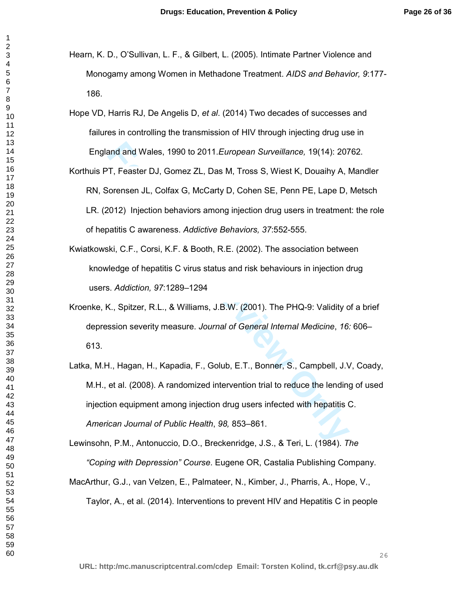- Hearn, K. D., O'Sullivan, L. F., & Gilbert, L. (2005). Intimate Partner Violence and Monogamy among Women in Methadone Treatment. *AIDS and Behavior, 9*:177- 186.
- Hope VD, Harris RJ, De Angelis D, *et al*. (2014) Two decades of successes and failures in controlling the transmission of HIV through injecting drug use in England and Wales, 1990 to 2011.*European Surveillance,* 19(14): 20762.
- Korthuis PT, Feaster DJ, Gomez ZL, Das M, Tross S, Wiest K, Douaihy A, Mandler RN, Sorensen JL, Colfax G, McCarty D, Cohen SE, Penn PE, Lape D, Metsch LR. (2012) Injection behaviors among injection drug users in treatment: the role of hepatitis C awareness. *Addictive Behaviors, 37*:552-555.
- Kwiatkowski, C.F., Corsi, K.F. & Booth, R.E. (2002). The association between knowledge of hepatitis C virus status and risk behaviours in injection drug users. *Addiction, 97*:1289–1294
- Kroenke, K., Spitzer, R.L., & Williams, J.B.W. (2001). The PHQ-9: Validity of a brief depression severity measure. *Journal of General Internal Medicine*, *16:* 606– 613.
- and and Wales, 1990 to 2011. *European Surveillance*, 19(14): 207<br>
T, Feaster DJ, Gomez ZL, Das M, Tross S, Wiest K, Douaihy A, I<br>
iorensen JL, Colfax G, McCarty D, Cohen SE, Penn PE, Lape D,<br>
2012) Injection behaviors amo Latka, M.H., Hagan, H., Kapadia, F., Golub, E.T., Bonner, S., Campbell, J.V, Coady, M.H., et al. (2008). A randomized intervention trial to reduce the lending of used injection equipment among injection drug users infected with hepatitis C. *American Journal of Public Health*, *98,* 853–861.

Lewinsohn, P.M., Antonuccio, D.O., Breckenridge, J.S., & Teri, L. (1984). *The* 

*"Coping with Depression" Course*. Eugene OR, Castalia Publishing Company.

MacArthur, G.J., van Velzen, E., Palmateer, N., Kimber, J., Pharris, A., Hope, V., Taylor, A., et al. (2014). Interventions to prevent HIV and Hepatitis C in people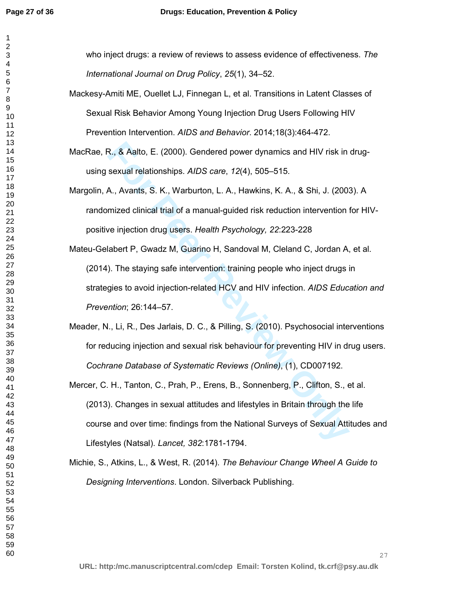who inject drugs: a review of reviews to assess evidence of effectiveness. *The International Journal on Drug Policy*, *25*(1), 34–52.

- Mackesy-Amiti ME, Ouellet LJ, Finnegan L, et al. Transitions in Latent Classes of Sexual Risk Behavior Among Young Injection Drug Users Following HIV Prevention Intervention. *AIDS and Behavior*. 2014;18(3):464-472.
- MacRae, R., & Aalto, E. (2000). Gendered power dynamics and HIV risk in drugusing sexual relationships. *AIDS care*, *12*(4), 505–515.
- Margolin, A., Avants, S. K., Warburton, L. A., Hawkins, K. A., & Shi, J. (2003). A randomized clinical trial of a manual-guided risk reduction intervention for HIVpositive injection drug users. *Health Psychology, 22*:223-228
- R., & Aalto, E. (2000). Gendered power dynamics and HIV risk in<br>sexual relationships. *AIDS care*, 12(4), 505–515.<br>A., Avants, S. K., Warburton, L. A., Hawkins, K. A., & Shi, J. (200;<br>mized clinical trial of a manual-guide Mateu-Gelabert P, Gwadz M, Guarino H, Sandoval M, Cleland C, Jordan A, et al. (2014). The staying safe intervention: training people who inject drugs in strategies to avoid injection-related HCV and HIV infection. *AIDS Education and Prevention*; 26:144–57.
- Meader, N., Li, R., Des Jarlais, D. C., & Pilling, S. (2010). Psychosocial interventions for reducing injection and sexual risk behaviour for preventing HIV in drug users. *Cochrane Database of Systematic Reviews (Online)*, (1), CD007192.
- Mercer, C. H., Tanton, C., Prah, P., Erens, B., Sonnenberg, P., Clifton, S., et al. (2013). Changes in sexual attitudes and lifestyles in Britain through the life course and over time: findings from the National Surveys of Sexual Attitudes and Lifestyles (Natsal). *Lancet, 382*:1781-1794.
- Michie, S., Atkins, L., & West, R. (2014). *The Behaviour Change Wheel A Guide to Designing Interventions*. London. Silverback Publishing.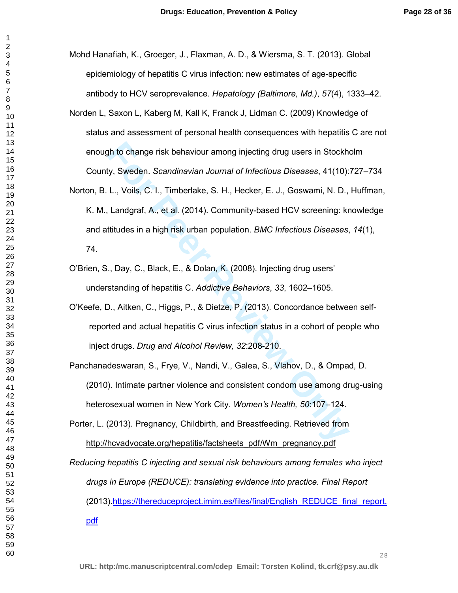Mohd Hanafiah, K., Groeger, J., Flaxman, A. D., & Wiersma, S. T. (2013). Global epidemiology of hepatitis C virus infection: new estimates of age-specific antibody to HCV seroprevalence. *Hepatology (Baltimore, Md.)*, *57*(4), 1333–42.

- Norden L, Saxon L, Kaberg M, Kall K, Franck J, Lidman C. (2009) Knowledge of status and assessment of personal health consequences with hepatitis C are not enough to change risk behaviour among injecting drug users in Stockholm County, Sweden. *Scandinavian Journal of Infectious Diseases*, 41(10):727–734
- th to change risk behaviour among injecting drug users in Stockh<br>
For Sweden. Scandinavian Journal of Infectious Diseases, 41(10):<br>
L., Voils, C. I., Timberlake, S. H., Hecker, E. J., Goswami, N. D.,<br>
Landgraf, A., et al. Norton, B. L., Voils, C. I., Timberlake, S. H., Hecker, E. J., Goswami, N. D., Huffman, K. M., Landgraf, A., et al. (2014). Community-based HCV screening: knowledge and attitudes in a high risk urban population. *BMC Infectious Diseases*, *14*(1), 74.
- O'Brien, S., Day, C., Black, E., & Dolan, K. (2008). Injecting drug users' understanding of hepatitis C. *Addictive Behaviors*, *33*, 1602–1605.
- O'Keefe, D., Aitken, C., Higgs, P., & Dietze, P. (2013). Concordance between selfreported and actual hepatitis C virus infection status in a cohort of people who inject drugs. *Drug and Alcohol Review, 32*:208-210.
- Panchanadeswaran, S., Frye, V., Nandi, V., Galea, S., Vlahov, D., & Ompad, D. (2010). Intimate partner violence and consistent condom use among drug-using heterosexual women in New York City. *Women's Health, 50*:107–124.
- Porter, L. (2013). Pregnancy, Childbirth, and Breastfeeding. Retrieved from http://hcvadvocate.org/hepatitis/factsheets\_pdf/Wm\_pregnancy.pdf

*Reducing hepatitis C injecting and sexual risk behaviours among females who inject drugs in Europe (REDUCE): translating evidence into practice. Final Report* (2013).https://thereduceproject.imim.es/files/final/English\_REDUCE\_final\_report. pdf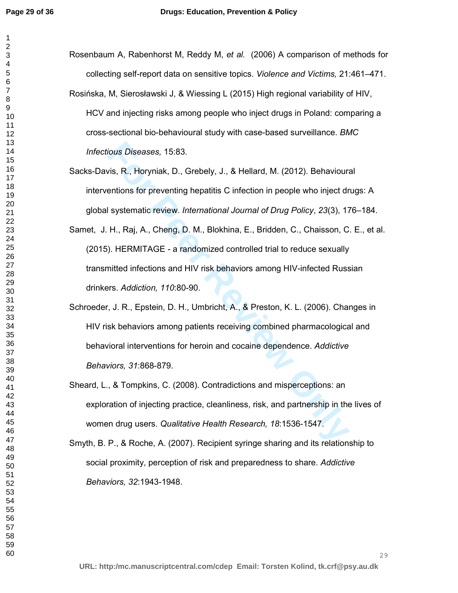| Rosenbaum A, Rabenhorst M, Reddy M, et al. (2006) A comparison of methods for           |
|-----------------------------------------------------------------------------------------|
| collecting self-report data on sensitive topics. Violence and Victims, 21:461-471.      |
| Rosińska, M, Sierosławski J, & Wiessing L (2015) High regional variability of HIV,      |
| HCV and injecting risks among people who inject drugs in Poland: comparing a            |
| cross-sectional bio-behavioural study with case-based surveillance. BMC                 |
| Infectious Diseases, 15:83.                                                             |
| Sacks-Davis, R., Horyniak, D., Grebely, J., & Hellard, M. (2012). Behavioural           |
| interventions for preventing hepatitis C infection in people who inject drugs: A        |
| global systematic review. International Journal of Drug Policy, 23(3), 176-184.         |
| Samet, J. H., Raj, A., Cheng, D. M., Blokhina, E., Bridden, C., Chaisson, C. E., et al. |
| (2015). HERMITAGE - a randomized controlled trial to reduce sexually                    |
| transmitted infections and HIV risk behaviors among HIV-infected Russian                |
| drinkers. Addiction, 110:80-90.                                                         |
| Schroeder, J. R., Epstein, D. H., Umbricht, A., & Preston, K. L. (2006). Changes in     |
| HIV risk behaviors among patients receiving combined pharmacological and                |
| behavioral interventions for heroin and cocaine dependence. Addictive                   |
| Behaviors, 31:868-879.                                                                  |
| Sheard, L., & Tompkins, C. (2008). Contradictions and misperceptions: an                |
| exploration of injecting practice, cleanliness, risk, and partnership in the lives of   |
| women drug users. Qualitative Health Research, 18:1536-1547.                            |
| Smyth, B. P., & Roche, A. (2007). Recipient syringe sharing and its relationship to     |
| social proximity, perception of risk and preparedness to share. Addictive               |
| Behaviors, 32:1943-1948.                                                                |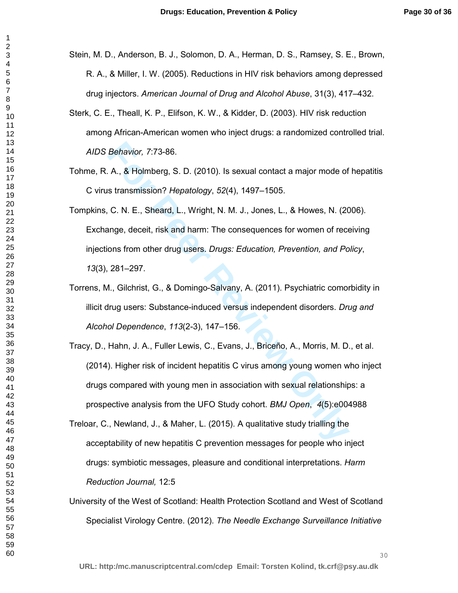- Stein, M. D., Anderson, B. J., Solomon, D. A., Herman, D. S., Ramsey, S. E., Brown, R. A., & Miller, I. W. (2005). Reductions in HIV risk behaviors among depressed drug injectors. *American Journal of Drug and Alcohol Abuse*, 31(3), 417–432.
- Sterk, C. E., Theall, K. P., Elifson, K. W., & Kidder, D. (2003). HIV risk reduction among African-American women who inject drugs: a randomized controlled trial. *AIDS Behavior, 7*:73-86.
- Tohme, R. A., & Holmberg, S. D. (2010). Is sexual contact a major mode of hepatitis C virus transmission? *Hepatology*, *52*(4), 1497–1505.
- Tompkins, C. N. E., Sheard, L., Wright, N. M. J., Jones, L., & Howes, N. (2006). Exchange, deceit, risk and harm: The consequences for women of receiving injections from other drug users. *Drugs: Education, Prevention, and Policy*, (3), 281–297.
- Torrens, M., Gilchrist, G., & Domingo-Salvany, A. (2011). Psychiatric comorbidity in illicit drug users: Substance-induced versus independent disorders. *Drug and Alcohol Dependence*, *113*(2-3), 147–156.
- Behavior, 7:73-86.<br>
A., & Holmberg, S. D. (2010). Is sexual contact a major mode of<br>
stransmission? Hepatology, 52(4), 1497–1505.<br>
C. N. E., Sheard, L., Wright, N. M. J., Jones, L., & Howes, N. (20<br>
ange, deceit, risk and Tracy, D., Hahn, J. A., Fuller Lewis, C., Evans, J., Briceño, A., Morris, M. D., et al. (2014). Higher risk of incident hepatitis C virus among young women who inject drugs compared with young men in association with sexual relationships: a prospective analysis from the UFO Study cohort. *BMJ Open*, *4*(5):e004988
- Treloar, C., Newland, J., & Maher, L. (2015). A qualitative study trialling the acceptability of new hepatitis C prevention messages for people who inject drugs: symbiotic messages, pleasure and conditional interpretations. *Harm Reduction Journal,* 12:5
- University of the West of Scotland: Health Protection Scotland and West of Scotland Specialist Virology Centre. (2012). *The Needle Exchange Surveillance Initiative*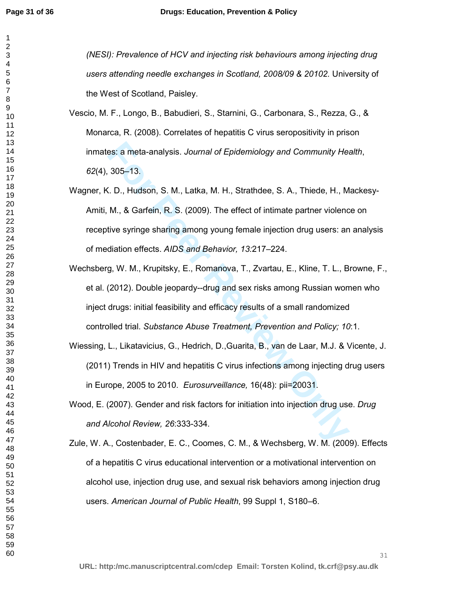es: a meta-analysis. Journal of Epidemiology and Community Het 305–13.<br> **For Peer Review Only Alter Standard Community Het 305–13.**<br> **For Peer Review Only Alter Standard Community Het Standard M. & Garfein, R. S. (2009). T** *(NESI): Prevalence of HCV and injecting risk behaviours among injecting drug users attending needle exchanges in Scotland, 2008/09 & 20102.* University of the West of Scotland, Paisley. Vescio, M. F., Longo, B., Babudieri, S., Starnini, G., Carbonara, S., Rezza, G., & Monarca, R. (2008). Correlates of hepatitis C virus seropositivity in prison inmates: a meta-analysis. *Journal of Epidemiology and Community Health*, (4), 305–13. Wagner, K. D., Hudson, S. M., Latka, M. H., Strathdee, S. A., Thiede, H., Mackesy-Amiti, M., & Garfein, R. S. (2009). The effect of intimate partner violence on receptive syringe sharing among young female injection drug users: an analysis of mediation effects. *AIDS and Behavior, 13:*217–224. Wechsberg, W. M., Krupitsky, E., Romanova, T., Zvartau, E., Kline, T. L., Browne, F., et al. (2012). Double jeopardy--drug and sex risks among Russian women who inject drugs: initial feasibility and efficacy results of a small randomized controlled trial. *Substance Abuse Treatment, Prevention and Policy; 10*:1. Wiessing, L., Likatavicius, G., Hedrich, D.,Guarita, B., van de Laar, M.J. & Vicente, J. (2011) Trends in HIV and hepatitis C virus infections among injecting drug users in Europe, 2005 to 2010. *Eurosurveillance,* 16(48): pii=20031. Wood, E. (2007). Gender and risk factors for initiation into injection drug use. *Drug and Alcohol Review, 26*:333-334. Zule, W. A., Costenbader, E. C., Coomes, C. M., & Wechsberg, W. M. (2009). Effects of a hepatitis C virus educational intervention or a motivational intervention on

alcohol use, injection drug use, and sexual risk behaviors among injection drug

users. *American Journal of Public Health*, 99 Suppl 1, S180–6.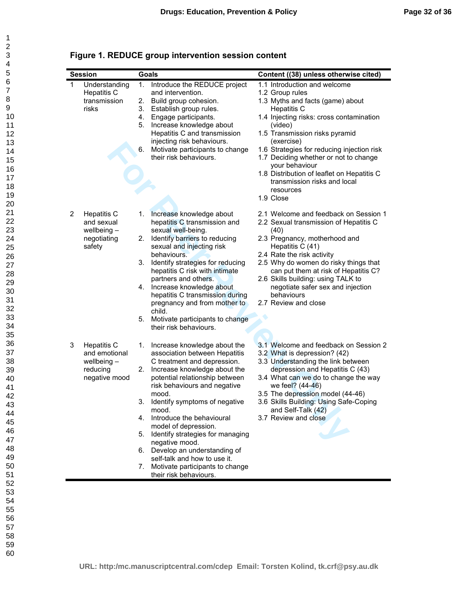| Figure 1. REDUCE group intervention session content |  |  |
|-----------------------------------------------------|--|--|
|-----------------------------------------------------|--|--|

|                | <b>Session</b>                                                                    |                                  | Goals                                                                                                                                                                                                                                                                                                                                                                                                                                                                                          | Content ((38) unless otherwise cited)                                                                                                                                                                                                                                                                                                                                                                                             |
|----------------|-----------------------------------------------------------------------------------|----------------------------------|------------------------------------------------------------------------------------------------------------------------------------------------------------------------------------------------------------------------------------------------------------------------------------------------------------------------------------------------------------------------------------------------------------------------------------------------------------------------------------------------|-----------------------------------------------------------------------------------------------------------------------------------------------------------------------------------------------------------------------------------------------------------------------------------------------------------------------------------------------------------------------------------------------------------------------------------|
| $\mathbf{1}$   | Understanding<br><b>Hepatitis C</b><br>transmission<br>risks                      | 1.<br>2.<br>3.<br>4.<br>5.<br>6. | Introduce the REDUCE project<br>and intervention.<br>Build group cohesion.<br>Establish group rules.<br>Engage participants.<br>Increase knowledge about<br>Hepatitis C and transmission<br>injecting risk behaviours.<br>Motivate participants to change<br>their risk behaviours.                                                                                                                                                                                                            | 1.1 Introduction and welcome<br>1.2 Group rules<br>1.3 Myths and facts (game) about<br><b>Hepatitis C</b><br>1.4 Injecting risks: cross contamination<br>(video)<br>1.5 Transmission risks pyramid<br>(exercise)<br>1.6 Strategies for reducing injection risk<br>1.7 Deciding whether or not to change<br>your behaviour<br>1.8 Distribution of leaflet on Hepatitis C<br>transmission risks and local<br>resources<br>1.9 Close |
| $\overline{2}$ | <b>Hepatitis C</b><br>and sexual<br>wellbeing $-$<br>negotiating<br>safety        | 1.<br>2.<br>3.<br>4.<br>5.       | Increase knowledge about<br>hepatitis C transmission and<br>sexual well-being.<br>Identify barriers to reducing<br>sexual and injecting risk<br>behaviours.<br>Identify strategies for reducing<br>hepatitis C risk with intimate<br>partners and others.<br>Increase knowledge about<br>hepatitis C transmission during<br>pregnancy and from mother to<br>child.<br>Motivate participants to change<br>their risk behaviours.                                                                | 2.1 Welcome and feedback on Session 1<br>2.2 Sexual transmission of Hepatitis C<br>(40)<br>2.3 Pregnancy, motherhood and<br>Hepatitis C (41)<br>2.4 Rate the risk activity<br>2.5 Why do women do risky things that<br>can put them at risk of Hepatitis C?<br>2.6 Skills building: using TALK to<br>negotiate safer sex and injection<br>behaviours<br>2.7 Review and close                                                      |
| 3              | <b>Hepatitis C</b><br>and emotional<br>wellbeing $-$<br>reducing<br>negative mood | 1.<br>2.<br>4.<br>6.<br>7.       | Increase knowledge about the<br>association between Hepatitis<br>C treatment and depression.<br>Increase knowledge about the<br>potential relationship between<br>risk behaviours and negative<br>mood.<br>3. Identify symptoms of negative<br>mood.<br>Introduce the behavioural<br>model of depression.<br>5. Identify strategies for managing<br>negative mood.<br>Develop an understanding of<br>self-talk and how to use it.<br>Motivate participants to change<br>their risk behaviours. | 3.1 Welcome and feedback on Session 2<br>3.2 What is depression? (42)<br>3.3 Understanding the link between<br>depression and Hepatitis C (43)<br>3.4 What can we do to change the way<br>we feel? (44-46)<br>3.5 The depression model (44-46)<br>3.6 Skills Building: Using Safe-Coping<br>and Self-Talk (42)<br>3.7 Review and close                                                                                            |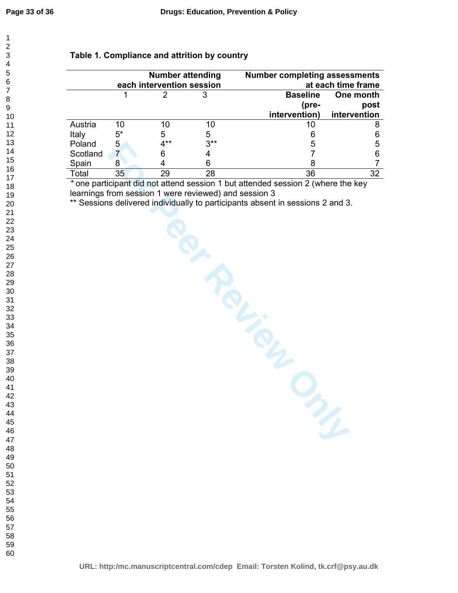# **Table 1. Compliance and attrition by country**

|          | <b>Number attending</b><br>each intervention session |        |       | <b>Number completing assessments</b><br>at each time frame |              |  |
|----------|------------------------------------------------------|--------|-------|------------------------------------------------------------|--------------|--|
|          |                                                      |        |       | <b>Baseline</b>                                            | One month    |  |
|          |                                                      |        |       | (pre-                                                      | post         |  |
|          |                                                      |        |       | intervention)                                              | intervention |  |
| Austria  | 10                                                   | 10     | 10    | 10                                                         |              |  |
| Italy    | $5^*$                                                | 5      | 5     |                                                            |              |  |
| Poland   | 5                                                    | $4***$ | $3**$ | 5                                                          | 5            |  |
| Scotland |                                                      | 6      |       |                                                            |              |  |
| Spain    | 8                                                    |        | 6     | 8                                                          |              |  |
| Total    | 35                                                   | 29     | 28    | 36                                                         | 32           |  |

*\** one participant did not attend session 1 but attended session 2 (where the key learnings from session 1 were reviewed) and session 3

\*\* Sessions delivered individually to participants absent in sessions 2 and 3.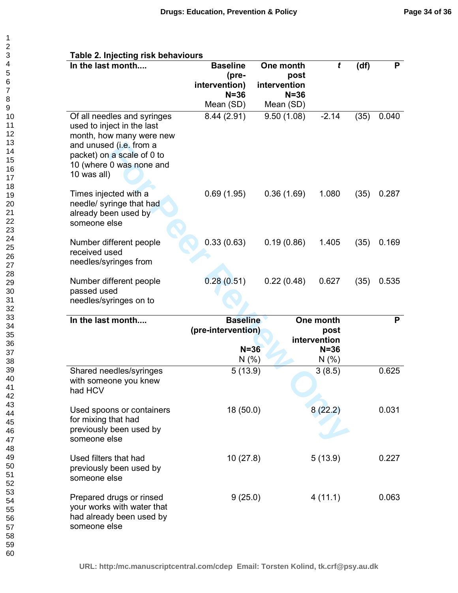| In the last month                                                                                                                                          | <b>Baseline</b><br>(pre- | One month<br>post       | t                    | (df) | P     |
|------------------------------------------------------------------------------------------------------------------------------------------------------------|--------------------------|-------------------------|----------------------|------|-------|
|                                                                                                                                                            | intervention)            | intervention            |                      |      |       |
|                                                                                                                                                            | $N = 36$                 | $N = 36$                |                      |      |       |
| Of all needles and syringes                                                                                                                                | Mean (SD)<br>8.44 (2.91) | Mean (SD)<br>9.50(1.08) | $-2.14$              | (35) | 0.040 |
| used to inject in the last<br>month, how many were new<br>and unused (i.e. from a<br>packet) on a scale of 0 to<br>10 (where 0 was none and<br>10 was all) |                          |                         |                      |      |       |
| Times injected with a<br>needle/ syringe that had<br>already been used by<br>someone else                                                                  | 0.69(1.95)               | 0.36(1.69)              | 1.080                | (35) | 0.287 |
| Number different people                                                                                                                                    | 0.33(0.63)               | 0.19(0.86)              | 1.405                | (35) | 0.169 |
| received used                                                                                                                                              |                          |                         |                      |      |       |
| needles/syringes from                                                                                                                                      |                          |                         |                      |      |       |
| Number different people                                                                                                                                    | 0.28(0.51)               | 0.22(0.48)              | 0.627                | (35) | 0.535 |
| passed used                                                                                                                                                |                          |                         |                      |      |       |
| needles/syringes on to                                                                                                                                     |                          |                         |                      |      |       |
| In the last month                                                                                                                                          | <b>Baseline</b>          |                         | One month            |      | P     |
|                                                                                                                                                            | (pre-intervention)       |                         | post<br>intervention |      |       |
|                                                                                                                                                            | $N = 36$                 |                         | $N = 36$             |      |       |
|                                                                                                                                                            | N(% )                    |                         | N(% )                |      |       |
| Shared needles/syringes<br>with someone you knew<br>had HCV                                                                                                | 5(13.9)                  |                         | 3(8.5)               |      | 0.625 |
| Used spoons or containers<br>for mixing that had<br>previously been used by<br>someone else                                                                | 18 (50.0)                |                         | 8(22.2)              |      | 0.031 |
| Used filters that had<br>previously been used by<br>someone else                                                                                           | 10(27.8)                 |                         | 5(13.9)              |      | 0.227 |
| Prepared drugs or rinsed<br>your works with water that<br>had already been used by<br>someone else                                                         | 9(25.0)                  |                         | 4(11.1)              |      | 0.063 |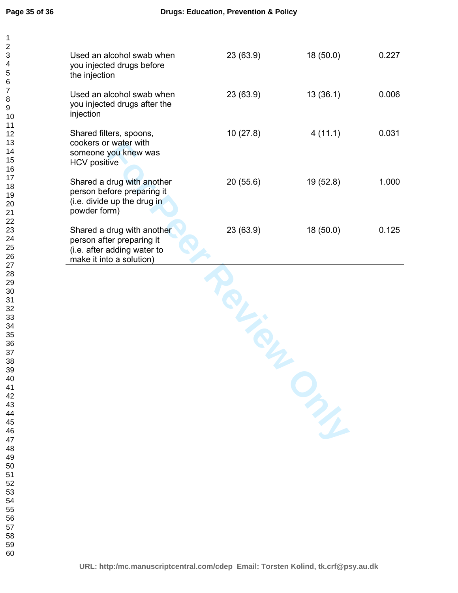| Used an alcohol swab when<br>you injected drugs before<br>the injection                                            | 23(63.9) | 18(50.0)  | 0.227 |
|--------------------------------------------------------------------------------------------------------------------|----------|-----------|-------|
| Used an alcohol swab when<br>you injected drugs after the<br>injection                                             | 23(63.9) | 13(36.1)  | 0.006 |
| Shared filters, spoons,<br>cookers or water with<br>someone you knew was<br><b>HCV</b> positive                    | 10(27.8) | 4(11.1)   | 0.031 |
| Shared a drug with another<br>person before preparing it<br>(i.e. divide up the drug in<br>powder form)            | 20(55.6) | 19 (52.8) | 1.000 |
| Shared a drug with another<br>person after preparing it<br>(i.e. after adding water to<br>make it into a solution) | 23(63.9) | 18(50.0)  | 0.125 |
|                                                                                                                    |          |           |       |
|                                                                                                                    |          | m         |       |